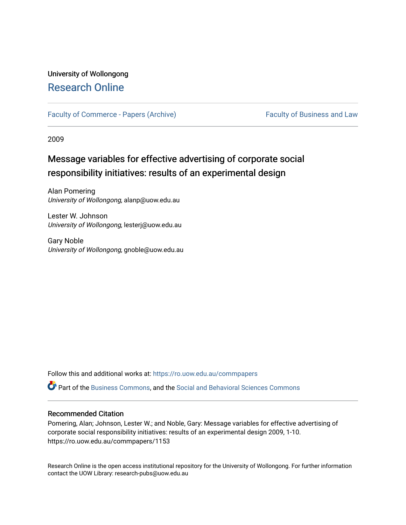# University of Wollongong [Research Online](https://ro.uow.edu.au/)

[Faculty of Commerce - Papers \(Archive\)](https://ro.uow.edu.au/commpapers) Faculty of Business and Law

2009

# Message variables for effective advertising of corporate social responsibility initiatives: results of an experimental design

Alan Pomering University of Wollongong, alanp@uow.edu.au

Lester W. Johnson University of Wollongong, lesterj@uow.edu.au

Gary Noble University of Wollongong, gnoble@uow.edu.au

Follow this and additional works at: [https://ro.uow.edu.au/commpapers](https://ro.uow.edu.au/commpapers?utm_source=ro.uow.edu.au%2Fcommpapers%2F1153&utm_medium=PDF&utm_campaign=PDFCoverPages) 

Part of the [Business Commons](http://network.bepress.com/hgg/discipline/622?utm_source=ro.uow.edu.au%2Fcommpapers%2F1153&utm_medium=PDF&utm_campaign=PDFCoverPages), and the [Social and Behavioral Sciences Commons](http://network.bepress.com/hgg/discipline/316?utm_source=ro.uow.edu.au%2Fcommpapers%2F1153&utm_medium=PDF&utm_campaign=PDFCoverPages) 

#### Recommended Citation

Pomering, Alan; Johnson, Lester W.; and Noble, Gary: Message variables for effective advertising of corporate social responsibility initiatives: results of an experimental design 2009, 1-10. https://ro.uow.edu.au/commpapers/1153

Research Online is the open access institutional repository for the University of Wollongong. For further information contact the UOW Library: research-pubs@uow.edu.au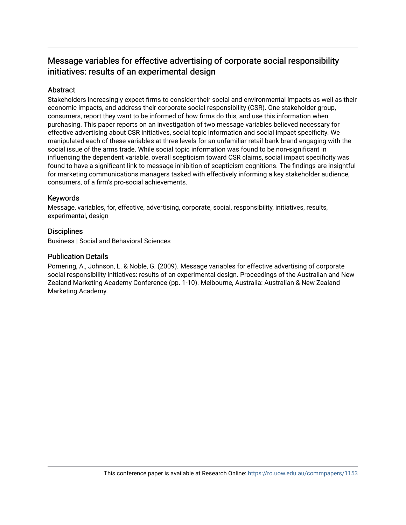## Message variables for effective advertising of corporate social responsibility initiatives: results of an experimental design

## **Abstract**

Stakeholders increasingly expect firms to consider their social and environmental impacts as well as their economic impacts, and address their corporate social responsibility (CSR). One stakeholder group, consumers, report they want to be informed of how firms do this, and use this information when purchasing. This paper reports on an investigation of two message variables believed necessary for effective advertising about CSR initiatives, social topic information and social impact specificity. We manipulated each of these variables at three levels for an unfamiliar retail bank brand engaging with the social issue of the arms trade. While social topic information was found to be non-significant in influencing the dependent variable, overall scepticism toward CSR claims, social impact specificity was found to have a significant link to message inhibition of scepticism cognitions. The findings are insightful for marketing communications managers tasked with effectively informing a key stakeholder audience, consumers, of a firm's pro-social achievements.

## Keywords

Message, variables, for, effective, advertising, corporate, social, responsibility, initiatives, results, experimental, design

## **Disciplines**

Business | Social and Behavioral Sciences

### Publication Details

Pomering, A., Johnson, L. & Noble, G. (2009). Message variables for effective advertising of corporate social responsibility initiatives: results of an experimental design. Proceedings of the Australian and New Zealand Marketing Academy Conference (pp. 1-10). Melbourne, Australia: Australian & New Zealand Marketing Academy.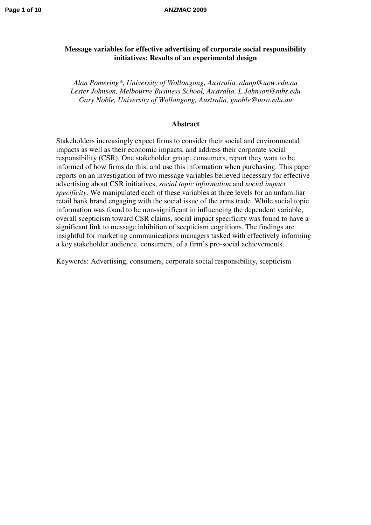## **Message variables for effective advertising of corporate social responsibility initiatives: Results of an experimental design**

*Alan Pomering\*, University of Wollongong, Australia, alanp@uow.edu.au Lester Johnson, Melbourne Business School, Australia, L.Johnson@mbs.edu Gary Noble, University of Wollongong, Australia, gnoble@uow.edu.au* 

#### **Abstract**

Stakeholders increasingly expect firms to consider their social and environmental impacts as well as their economic impacts, and address their corporate social responsibility (CSR). One stakeholder group, consumers, report they want to be informed of how firms do this, and use this information when purchasing. This paper reports on an investigation of two message variables believed necessary for effective advertising about CSR initiatives, *social topic information* and *social impact specificity*. We manipulated each of these variables at three levels for an unfamiliar retail bank brand engaging with the social issue of the arms trade. While social topic information was found to be non-significant in influencing the dependent variable, overall scepticism toward CSR claims, social impact specificity was found to have a significant link to message inhibition of scepticism cognitions. The findings are insightful for marketing communications managers tasked with effectively informing a key stakeholder audience, consumers, of a firm's pro-social achievements.

Keywords: Advertising, consumers, corporate social responsibility, scepticism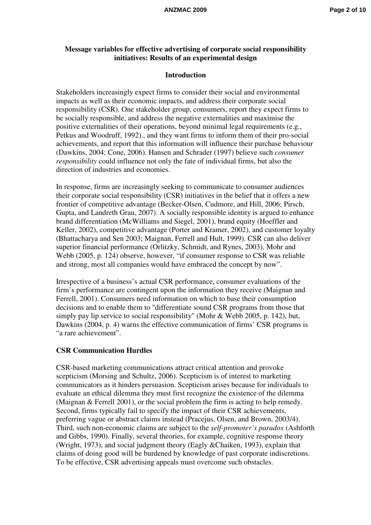## **Message variables for effective advertising of corporate social responsibility initiatives: Results of an experimental design**

#### **Introduction**

Stakeholders increasingly expect firms to consider their social and environmental impacts as well as their economic impacts, and address their corporate social responsibility (CSR). One stakeholder group, consumers, report they expect firms to be socially responsible, and address the negative externalities and maximise the positive externalities of their operations, beyond minimal legal requirements (e.g., Petkus and Woodruff, 1992)., and they want firms to inform them of their pro-social achievements, and report that this information will influence their purchase behaviour (Dawkins, 2004; Cone, 2006). Hansen and Schrader (1997) believe such *consumer responsibility* could influence not only the fate of individual firms, but also the direction of industries and economies.

In response, firms are increasingly seeking to communicate to consumer audiences their corporate social responsibility (CSR) initiatives in the belief that it offers a new frontier of competitive advantage (Becker-Olsen, Cudmore, and Hill, 2006; Pirsch, Gupta, and Landreth Grau, 2007). A socially responsible identity is argued to enhance brand differentiation (McWilliams and Siegel, 2001), brand equity (Hoeffler and Keller, 2002), competitive advantage (Porter and Kramer, 2002), and customer loyalty (Bhattacharya and Sen 2003; Maignan, Ferrell and Hult, 1999). CSR can also deliver superior financial performance (Orlitzky, Schmidt, and Rynes, 2003). Mohr and Webb (2005, p. 124) observe, however, "if consumer response to CSR was reliable and strong, most all companies would have embraced the concept by now".

Irrespective of a business's actual CSR performance, consumer evaluations of the firm's performance are contingent upon the information they receive (Maignan and Ferrell, 2001). Consumers need information on which to base their consumption decisions and to enable them to "differentiate sound CSR programs from those that simply pay lip service to social responsibility" (Mohr & Webb 2005, p. 142), but, Dawkins (2004, p. 4) warns the effective communication of firms' CSR programs is "a rare achievement".

#### **CSR Communication Hurdles**

CSR-based marketing communications attract critical attention and provoke scepticism (Morsing and Schultz, 2006). Scepticism is of interest to marketing communicators as it hinders persuasion. Scepticism arises because for individuals to evaluate an ethical dilemma they must first recognize the existence of the dilemma (Maignan & Ferrell 2001), or the social problem the firm is acting to help remedy. Second, firms typically fail to specify the impact of their CSR achievements, preferring vague or abstract claims instead (Pracejus, Olsen, and Brown, 2003/4). Third, such non-economic claims are subject to the *self-promoter's paradox* (Ashforth and Gibbs, 1990). Finally, several theories, for example, cognitive response theory (Wright, 1973), and social judgment theory (Eagly &Chaiken, 1993), explain that claims of doing good will be burdened by knowledge of past corporate indiscretions. To be effective, CSR advertising appeals must overcome such obstacles.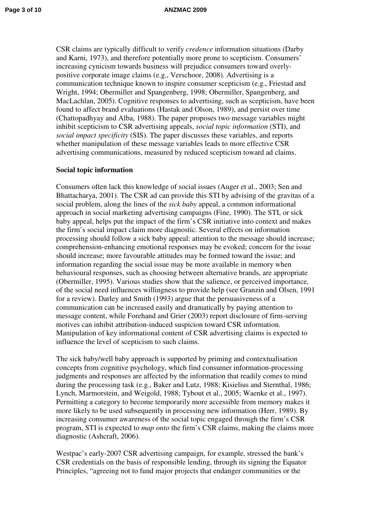CSR claims are typically difficult to verify *credence* information situations (Darby and Karni, 1973), and therefore potentially more prone to scepticism. Consumers' increasing cynicism towards business will prejudice consumers toward overlypositive corporate image claims (e.g., Verschoor, 2008). Advertising is a communication technique known to inspire consumer scepticism (e.g., Friestad and Wright, 1994; Obermiller and Spangenberg, 1998; Obermiller, Spangenberg, and MacLachlan, 2005). Cognitive responses to advertising, such as scepticism, have been found to affect brand evaluations (Hastak and Olson, 1989), and persist over time (Chattopadhyay and Alba, 1988). The paper proposes two message variables might inhibit scepticism to CSR advertising appeals, *social topic information* (STI), and *social impact specificity* (SIS). The paper discusses these variables, and reports whether manipulation of these message variables leads to more effective CSR advertising communications, measured by reduced scepticism toward ad claims.

## **Social topic information**

Consumers often lack this knowledge of social issues (Auger et al., 2003; Sen and Bhattacharya, 2001). The CSR ad can provide this STI by advising of the gravitas of a social problem, along the lines of the *sick baby* appeal, a common informational approach in social marketing advertising campaigns (Fine, 1990). The STI, or sick baby appeal, helps put the impact of the firm's CSR initiative into context and makes the firm's social impact claim more diagnostic. Several effects on information processing should follow a sick baby appeal: attention to the message should increase; comprehension-enhancing emotional responses may be evoked; concern for the issue should increase; more favourable attitudes may be formed toward the issue; and information regarding the social issue may be more available in memory when behavioural responses, such as choosing between alternative brands, are appropriate (Obermiller, 1995). Various studies show that the salience, or perceived importance, of the social need influences willingness to provide help (see Granzin and Olsen, 1991 for a review). Darley and Smith (1993) argue that the persuasiveness of a communication can be increased easily and dramatically by paying attention to message content, while Forehand and Grier (2003) report disclosure of firm-serving motives can inhibit attribution-induced suspicion toward CSR information. Manipulation of key informational content of CSR advertising claims is expected to influence the level of scepticism to such claims.

The sick baby/well baby approach is supported by priming and contextualisation concepts from cognitive psychology, which find consumer information-processing judgments and responses are affected by the information that readily comes to mind during the processing task (e.g., Baker and Lutz, 1988; Kisielius and Sternthal, 1986; Lynch, Marmorstein, and Weigold, 1988; Tybout et al., 2005; Waenke et al., 1997). Permitting a category to become temporarily more accessible from memory makes it more likely to be used subsequently in processing new information (Herr, 1989). By increasing consumer awareness of the social topic engaged through the firm's CSR program, STI is expected to *map onto* the firm's CSR claims, making the claims more diagnostic (Ashcraft, 2006).

Westpac's early-2007 CSR advertising campaign, for example, stressed the bank's CSR credentials on the basis of responsible lending, through its signing the Equator Principles, "agreeing not to fund major projects that endanger communities or the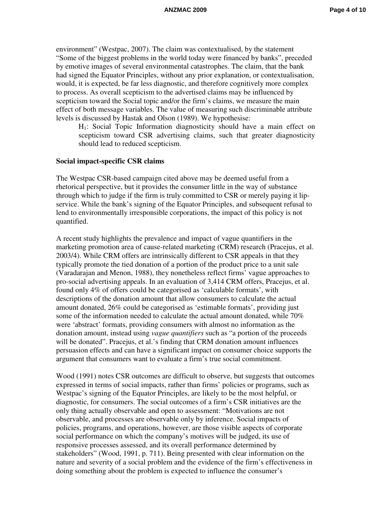environment" (Westpac, 2007). The claim was contextualised, by the statement "Some of the biggest problems in the world today were financed by banks", preceded by emotive images of several environmental catastrophes. The claim, that the bank had signed the Equator Principles, without any prior explanation, or contextualisation, would, it is expected, be far less diagnostic, and therefore cognitively more complex to process. As overall scepticism to the advertised claims may be influenced by scepticism toward the Social topic and/or the firm's claims, we measure the main effect of both message variables. The value of measuring such discriminable attribute levels is discussed by Hastak and Olson (1989). We hypothesise:

H1: Social Topic Information diagnosticity should have a main effect on scepticism toward CSR advertising claims, such that greater diagnosticity should lead to reduced scepticism.

#### **Social impact-specific CSR claims**

The Westpac CSR-based campaign cited above may be deemed useful from a rhetorical perspective, but it provides the consumer little in the way of substance through which to judge if the firm is truly committed to CSR or merely paying it lipservice. While the bank's signing of the Equator Principles, and subsequent refusal to lend to environmentally irresponsible corporations, the impact of this policy is not quantified.

A recent study highlights the prevalence and impact of vague quantifiers in the marketing promotion area of cause-related marketing (CRM) research (Pracejus, et al. 2003/4). While CRM offers are intrinsically different to CSR appeals in that they typically promote the tied donation of a portion of the product price to a unit sale (Varadarajan and Menon, 1988), they nonetheless reflect firms' vague approaches to pro-social advertising appeals. In an evaluation of 3,414 CRM offers, Pracejus, et al. found only 4% of offers could be categorised as 'calculable formats', with descriptions of the donation amount that allow consumers to calculate the actual amount donated, 26% could be categorised as 'estimable formats', providing just some of the information needed to calculate the actual amount donated, while 70% were 'abstract' formats, providing consumers with almost no information as the donation amount, instead using *vague quantifiers* such as "a portion of the proceeds will be donated". Pracejus, et al.'s finding that CRM donation amount influences persuasion effects and can have a significant impact on consumer choice supports the argument that consumers want to evaluate a firm's true social commitment.

Wood (1991) notes CSR outcomes are difficult to observe, but suggests that outcomes expressed in terms of social impacts, rather than firms' policies or programs, such as Westpac's signing of the Equator Principles, are likely to be the most helpful, or diagnostic, for consumers. The social outcomes of a firm's CSR initiatives are the only thing actually observable and open to assessment: "Motivations are not observable, and processes are observable only by inference. Social impacts of policies, programs, and operations, however, are those visible aspects of corporate social performance on which the company's motives will be judged, its use of responsive processes assessed, and its overall performance determined by stakeholders" (Wood, 1991, p. 711). Being presented with clear information on the nature and severity of a social problem and the evidence of the firm's effectiveness in doing something about the problem is expected to influence the consumer's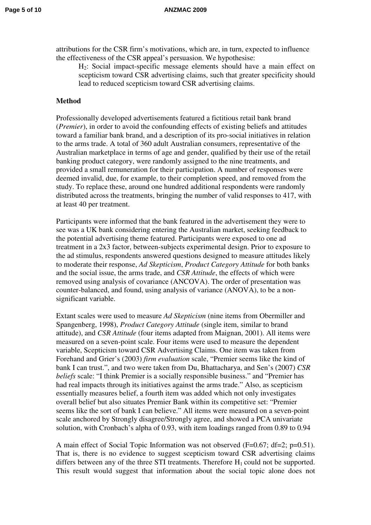attributions for the CSR firm's motivations, which are, in turn, expected to influence the effectiveness of the CSR appeal's persuasion. We hypothesise:

H2: Social impact-specific message elements should have a main effect on scepticism toward CSR advertising claims, such that greater specificity should lead to reduced scepticism toward CSR advertising claims.

#### **Method**

Professionally developed advertisements featured a fictitious retail bank brand (*Premier*), in order to avoid the confounding effects of existing beliefs and attitudes toward a familiar bank brand, and a description of its pro-social initiatives in relation to the arms trade. A total of 360 adult Australian consumers, representative of the Australian marketplace in terms of age and gender, qualified by their use of the retail banking product category, were randomly assigned to the nine treatments, and provided a small remuneration for their participation. A number of responses were deemed invalid, due, for example, to their completion speed, and removed from the study. To replace these, around one hundred additional respondents were randomly distributed across the treatments, bringing the number of valid responses to 417, with at least 40 per treatment.

Participants were informed that the bank featured in the advertisement they were to see was a UK bank considering entering the Australian market, seeking feedback to the potential advertising theme featured. Participants were exposed to one ad treatment in a 2x3 factor, between-subjects experimental design. Prior to exposure to the ad stimulus, respondents answered questions designed to measure attitudes likely to moderate their response, *Ad Skepticism*, *Product Category Attitude* for both banks and the social issue, the arms trade, and *CSR Attitude*, the effects of which were removed using analysis of covariance (ANCOVA). The order of presentation was counter-balanced, and found, using analysis of variance (ANOVA), to be a nonsignificant variable.

Extant scales were used to measure *Ad Skepticism* (nine items from Obermiller and Spangenberg, 1998), *Product Category Attitude* (single item, similar to brand attitude), and *CSR Attitude* (four items adapted from Maignan, 2001). All items were measured on a seven-point scale. Four items were used to measure the dependent variable, Scepticism toward CSR Advertising Claims. One item was taken from Forehand and Grier's (2003) *firm evaluation* scale, "Premier seems like the kind of bank I can trust.", and two were taken from Du, Bhattacharya, and Sen's (2007) *CSR beliefs* scale: "I think Premier is a socially responsible business." and "Premier has had real impacts through its initiatives against the arms trade." Also, as scepticism essentially measures belief, a fourth item was added which not only investigates overall belief but also situates Premier Bank within its competitive set: "Premier seems like the sort of bank I can believe." All items were measured on a seven-point scale anchored by Strongly disagree/Strongly agree, and showed a PCA univariate solution, with Cronbach's alpha of 0.93, with item loadings ranged from 0.89 to 0.94

A main effect of Social Topic Information was not observed (F=0.67; df=2; p=0.51). That is, there is no evidence to suggest scepticism toward CSR advertising claims differs between any of the three STI treatments. Therefore  $H_1$  could not be supported. This result would suggest that information about the social topic alone does not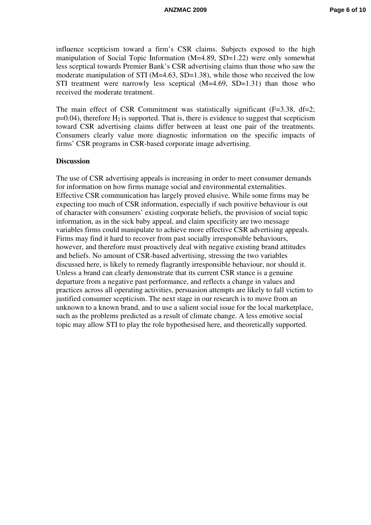influence scepticism toward a firm's CSR claims. Subjects exposed to the high manipulation of Social Topic Information (M=4.89, SD=1.22) were only somewhat less sceptical towards Premier Bank's CSR advertising claims than those who saw the moderate manipulation of STI (M=4.63, SD=1.38), while those who received the low STI treatment were narrowly less sceptical  $(M=4.69, SD=1.31)$  than those who received the moderate treatment.

The main effect of CSR Commitment was statistically significant (F=3.38, df=2;  $p=0.04$ ), therefore  $H_2$  is supported. That is, there is evidence to suggest that scepticism toward CSR advertising claims differ between at least one pair of the treatments. Consumers clearly value more diagnostic information on the specific impacts of firms' CSR programs in CSR-based corporate image advertising.

## **Discussion**

The use of CSR advertising appeals is increasing in order to meet consumer demands for information on how firms manage social and environmental externalities. Effective CSR communication has largely proved elusive. While some firms may be expecting too much of CSR information, especially if such positive behaviour is out of character with consumers' existing corporate beliefs, the provision of social topic information, as in the sick baby appeal, and claim specificity are two message variables firms could manipulate to achieve more effective CSR advertising appeals. Firms may find it hard to recover from past socially irresponsible behaviours, however, and therefore must proactively deal with negative existing brand attitudes and beliefs. No amount of CSR-based advertising, stressing the two variables discussed here, is likely to remedy flagrantly irresponsible behaviour, nor should it. Unless a brand can clearly demonstrate that its current CSR stance is a genuine departure from a negative past performance, and reflects a change in values and practices across all operating activities, persuasion attempts are likely to fall victim to justified consumer scepticism. The next stage in our research is to move from an unknown to a known brand, and to use a salient social issue for the local marketplace, such as the problems predicted as a result of climate change. A less emotive social topic may allow STI to play the role hypothesised here, and theoretically supported.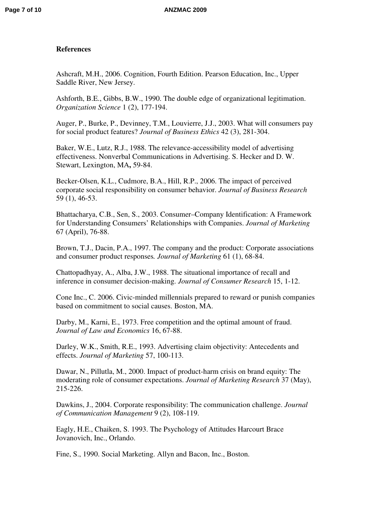## **References**

Ashcraft, M.H., 2006. Cognition, Fourth Edition. Pearson Education, Inc., Upper Saddle River, New Jersey.

Ashforth, B.E., Gibbs, B.W., 1990. The double edge of organizational legitimation. *Organization Science* 1 (2), 177-194.

Auger, P., Burke, P., Devinney, T.M., Louvierre, J.J., 2003. What will consumers pay for social product features? *Journal of Business Ethics* 42 (3), 281-304.

Baker, W.E., Lutz, R.J., 1988. The relevance-accessibility model of advertising effectiveness. Nonverbal Communications in Advertising. S. Hecker and D. W. Stewart, Lexington, MA**,** 59-84.

Becker-Olsen, K.L., Cudmore, B.A., Hill, R.P., 2006. The impact of perceived corporate social responsibility on consumer behavior. *Journal of Business Research* 59 (1), 46-53.

Bhattacharya, C.B., Sen, S., 2003. Consumer–Company Identification: A Framework for Understanding Consumers' Relationships with Companies. *Journal of Marketing* 67 (April), 76-88.

Brown, T.J., Dacin, P.A., 1997. The company and the product: Corporate associations and consumer product responses*. Journal of Marketing* 61 (1), 68-84.

Chattopadhyay, A., Alba, J.W., 1988. The situational importance of recall and inference in consumer decision-making. *Journal of Consumer Research* 15, 1-12.

Cone Inc., C. 2006. Civic-minded millennials prepared to reward or punish companies based on commitment to social causes. Boston, MA.

Darby, M., Karni, E., 1973. Free competition and the optimal amount of fraud. *Journal of Law and Economics* 16, 67-88.

Darley, W.K., Smith, R.E., 1993. Advertising claim objectivity: Antecedents and effects. *Journal of Marketing* 57, 100-113.

Dawar, N., Pillutla, M., 2000. Impact of product-harm crisis on brand equity: The moderating role of consumer expectations. *Journal of Marketing Research* 37 (May), 215-226.

Dawkins, J., 2004. Corporate responsibility: The communication challenge. *Journal of Communication Management* 9 (2), 108-119.

Eagly, H.E., Chaiken, S. 1993. The Psychology of Attitudes Harcourt Brace Jovanovich, Inc., Orlando.

Fine, S., 1990. Social Marketing. Allyn and Bacon, Inc., Boston.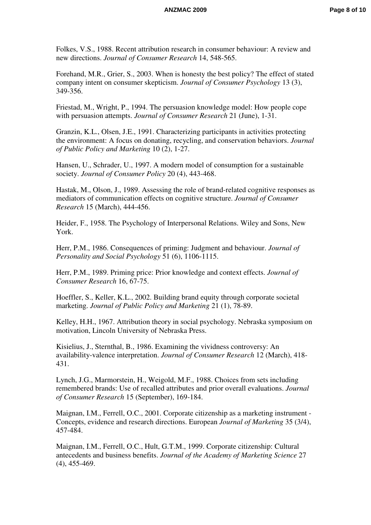Folkes, V.S., 1988. Recent attribution research in consumer behaviour: A review and new directions. *Journal of Consumer Research* 14, 548-565.

Forehand, M.R., Grier, S., 2003. When is honesty the best policy? The effect of stated company intent on consumer skepticism. *Journal of Consumer Psychology* 13 (3), 349-356.

Friestad, M., Wright, P., 1994. The persuasion knowledge model: How people cope with persuasion attempts. *Journal of Consumer Research* 21 (June), 1-31.

Granzin, K.L., Olsen, J.E., 1991. Characterizing participants in activities protecting the environment: A focus on donating, recycling, and conservation behaviors. *Journal of Public Policy and Marketing* 10 (2), 1-27.

Hansen, U., Schrader, U., 1997. A modern model of consumption for a sustainable society. *Journal of Consumer Policy* 20 (4), 443-468.

Hastak, M., Olson, J., 1989. Assessing the role of brand-related cognitive responses as mediators of communication effects on cognitive structure. *Journal of Consumer Research* 15 (March), 444-456.

Heider, F., 1958. The Psychology of Interpersonal Relations. Wiley and Sons, New York.

Herr, P.M., 1986. Consequences of priming: Judgment and behaviour. *Journal of Personality and Social Psychology* 51 (6), 1106-1115.

Herr, P.M., 1989. Priming price: Prior knowledge and context effects. *Journal of Consumer Research* 16, 67-75.

Hoeffler, S., Keller, K.L., 2002. Building brand equity through corporate societal marketing. *Journal of Public Policy and Marketing* 21 (1), 78-89.

Kelley, H.H., 1967. Attribution theory in social psychology. Nebraska symposium on motivation, Lincoln University of Nebraska Press.

Kisielius, J., Sternthal, B., 1986. Examining the vividness controversy: An availability-valence interpretation. *Journal of Consumer Research* 12 (March), 418- 431.

Lynch, J.G., Marmorstein, H., Weigold, M.F., 1988. Choices from sets including remembered brands: Use of recalled attributes and prior overall evaluations. *Journal of Consumer Research* 15 (September), 169-184.

Maignan, I.M., Ferrell, O.C., 2001. Corporate citizenship as a marketing instrument - Concepts, evidence and research directions. European *Journal of Marketing* 35 (3/4), 457-484.

Maignan, I.M., Ferrell, O.C., Hult, G.T.M., 1999. Corporate citizenship: Cultural antecedents and business benefits. *Journal of the Academy of Marketing Science* 27 (4), 455-469.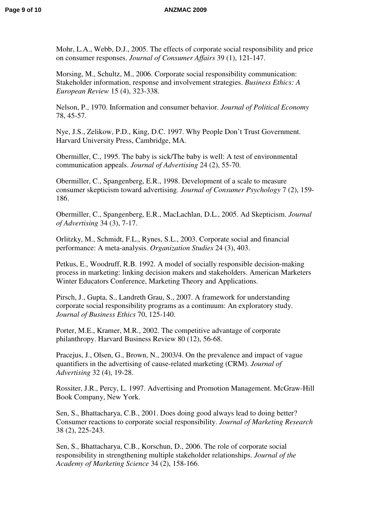Mohr, L.A., Webb, D.J., 2005. The effects of corporate social responsibility and price on consumer responses. *Journal of Consumer Affairs* 39 (1), 121-147.

Morsing, M., Schultz, M., 2006. Corporate social responsibility communication: Stakeholder information, response and involvement strategies. *Business Ethics: A European Review* 15 (4), 323-338.

Nelson, P., 1970. Information and consumer behavior. *Journal of Political Economy* 78, 45-57.

Nye, J.S., Zelikow, P.D., King, D.C. 1997. Why People Don't Trust Government. Harvard University Press, Cambridge, MA.

Obermiller, C., 1995. The baby is sick/The baby is well: A test of environmental communication appeals. *Journal of Advertising* 24 (2), 55-70.

Obermiller, C., Spangenberg, E.R., 1998. Development of a scale to measure consumer skepticism toward advertising. *Journal of Consumer Psychology* 7 (2), 159- 186.

Obermiller, C., Spangenberg, E.R., MacLachlan, D.L., 2005. Ad Skepticism. *Journal of Advertising* 34 (3), 7-17.

Orlitzky, M., Schmidt, F.L., Rynes, S.L., 2003. Corporate social and financial performance: A meta-analysis. *Organization Studies* 24 (3), 403.

Petkus, E., Woodruff, R.B. 1992. A model of socially responsible decision-making process in marketing: linking decision makers and stakeholders. American Marketers Winter Educators Conference, Marketing Theory and Applications.

Pirsch, J., Gupta, S., Landreth Grau, S., 2007. A framework for understanding corporate social responsibility programs as a continuum: An exploratory study. *Journal of Business Ethics* 70, 125-140.

Porter, M.E., Kramer, M.R., 2002. The competitive advantage of corporate philanthropy. Harvard Business Review 80 (12), 56-68.

Pracejus, J., Olsen, G., Brown, N., 2003/4. On the prevalence and impact of vague quantifiers in the advertising of cause-related marketing (CRM). *Journal of Advertising* 32 (4), 19-28.

Rossiter, J.R., Percy, L. 1997. Advertising and Promotion Management. McGraw-Hill Book Company, New York.

Sen, S., Bhattacharya, C.B., 2001. Does doing good always lead to doing better? Consumer reactions to corporate social responsibility. *Journal of Marketing Research* 38 (2), 225-243.

Sen, S., Bhattacharya, C.B., Korschun, D., 2006. The role of corporate social responsibility in strengthening multiple stakeholder relationships. *Journal of the Academy of Marketing Science* 34 (2), 158-166.